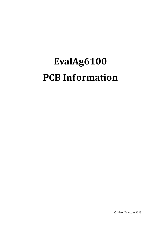## **EvalAg6100 PCB Information**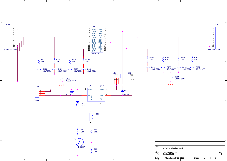

3

2

1

5

4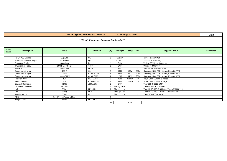| <b>EVALAg6100 Eval Board - Rev.2R</b><br>27th August 2015 |                           |                        |                                                  |                |               |                          |                          | Date                                       |                  |
|-----------------------------------------------------------|---------------------------|------------------------|--------------------------------------------------|----------------|---------------|--------------------------|--------------------------|--------------------------------------------|------------------|
| ***'Strictly Private and Company Confidential***          |                           |                        |                                                  |                |               |                          |                          |                                            |                  |
|                                                           |                           |                        |                                                  |                |               |                          |                          |                                            |                  |
| <b>Silver</b><br>Part No.                                 | <b>Description</b>        | Value                  | Location:                                        | Qty:           | Package:      | Rating:                  | Tol:                     | <b>Supplier Pt NO:</b>                     | <b>Comments:</b> |
|                                                           |                           |                        |                                                  |                |               |                          |                          |                                            |                  |
|                                                           | POE+ PSE Module           | Ag6100                 | U1                                               |                | Custom        | $\overline{\phantom{a}}$ |                          | Silver Telecom Part                        |                  |
|                                                           | Transistor NPN 60v Single | BC846Bw                | Q <sub>1</sub>                                   |                | <b>SOT323</b> |                          |                          | Infineon or NXP Only                       |                  |
|                                                           | <b>Protection Diode</b>   | SMAJ58A                | D <sub>1</sub>                                   |                | <b>SMA</b>    |                          |                          | Vishay, ST Micro, Diodes Inc               |                  |
|                                                           | Transformer - Data        | 10G BaseT PoE+         | T100                                             |                | <b>SMT</b>    | $\overline{\phantom{a}}$ | $\sim$                   | Wurth - 749052050                          |                  |
|                                                           | <b>SM LED</b>             | <b>RED LED</b>         | LED <sub>1</sub>                                 |                | <b>SMT</b>    | $\sim$                   | $\overline{\phantom{a}}$ | Wurth - 150 141 RS7 310 0                  |                  |
|                                                           | Ceramic multi-layer       | 100 <sub>n</sub> F     | C <sub>1</sub>                                   |                | 0805          | 100V                     | 20%                      | Samsung, NIC, TDK, Murata, Kemet & AVX     |                  |
|                                                           | Ceramic multi-layer       | 10nF                   | C100 - C107                                      | 8              | 0805          | 250V                     | 20%                      | Samsung, NIC, TDK, Murata, Kemet & AVX     |                  |
|                                                           | Ceramic multi-layer       | 1000pF 2KV             | C108, C109                                       | $\overline{2}$ | 1206          | 2KV                      | 20%                      | Samsung, NIC, TDK, Murata, Kemet & AVX     |                  |
|                                                           | Resistor - 0603           | 10K                    | R <sub>1</sub> , R <sub>2</sub> , R <sub>3</sub> | 3              | 0603          | 63mW                     | $1\%$                    | Royal Ohm, Eurohm & Yageo                  |                  |
|                                                           | Resistor - 0805           | 75R                    | R <sub>100</sub> - R <sub>107</sub>              | 8              | 0805          | 125mW                    | $1\%$                    | Royal Ohm, Eurohm & Yageo                  |                  |
|                                                           | <b>Ethernet Connector</b> | <b>RJ45</b>            | J100, J101                                       | 2              | <b>SMT</b>    | $\sim$                   |                          | Toby 3004S-8821-SMT                        |                  |
|                                                           | <b>DC Power Connector</b> | DC-001                 | J3                                               |                | Through Hole  |                          | $\overline{\phantom{a}}$ | Toby DC-001-B-2.5MM-R                      |                  |
|                                                           | Link                      | 3 Way                  | LK1.LK2                                          | $\overline{2}$ | Through Hole  |                          |                          | Toby LHCS-03S-R-060-034, Wurth 61300311121 |                  |
|                                                           | Link                      | 2 Way                  | LK3                                              |                | Through Hole  | $\overline{a}$           |                          | Toby LHCS-02S-R-060-034, Wurth 61300211121 |                  |
|                                                           | Module Socket             | 6 Way                  | U1                                               |                | Through Hole  |                          |                          | Toby SLW-106-01-G-S                        |                  |
|                                                           | <b>PCB</b>                | Rev.2R - 127mm x 102mm |                                                  |                |               |                          |                          |                                            |                  |
|                                                           | Jumper Links              | Links                  | <b>LK1 - LK3</b>                                 | 3              |               | $\overline{\phantom{a}}$ | $\sim$                   |                                            |                  |
|                                                           |                           |                        |                                                  | 35             |               | Total                    |                          |                                            |                  |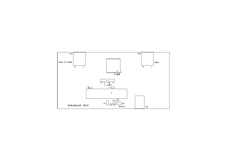